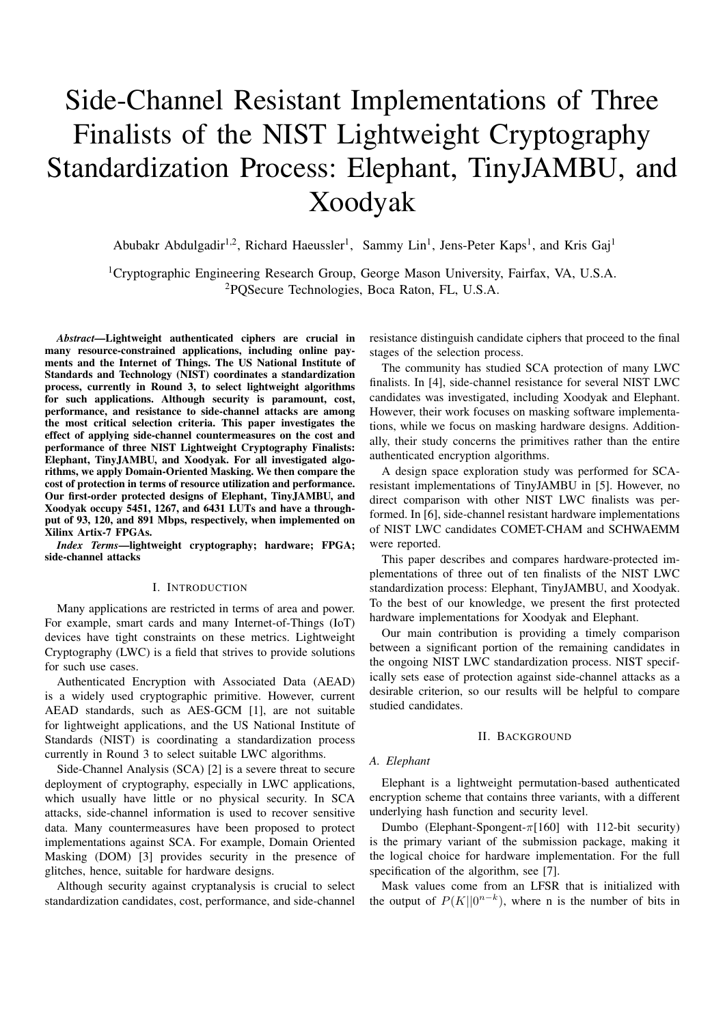# Side-Channel Resistant Implementations of Three Finalists of the NIST Lightweight Cryptography Standardization Process: Elephant, TinyJAMBU, and Xoodyak

Abubakr Abdulgadir<sup>1,2</sup>, Richard Haeussler<sup>1</sup>, Sammy Lin<sup>1</sup>, Jens-Peter Kaps<sup>1</sup>, and Kris Gaj<sup>1</sup>

<sup>1</sup>Cryptographic Engineering Research Group, George Mason University, Fairfax, VA, U.S.A. <sup>2</sup>PQSecure Technologies, Boca Raton, FL, U.S.A.

*Abstract*—Lightweight authenticated ciphers are crucial in many resource-constrained applications, including online payments and the Internet of Things. The US National Institute of Standards and Technology (NIST) coordinates a standardization process, currently in Round 3, to select lightweight algorithms for such applications. Although security is paramount, cost, performance, and resistance to side-channel attacks are among the most critical selection criteria. This paper investigates the effect of applying side-channel countermeasures on the cost and performance of three NIST Lightweight Cryptography Finalists: Elephant, TinyJAMBU, and Xoodyak. For all investigated algorithms, we apply Domain-Oriented Masking. We then compare the cost of protection in terms of resource utilization and performance. Our first-order protected designs of Elephant, TinyJAMBU, and Xoodyak occupy 5451, 1267, and 6431 LUTs and have a throughput of 93, 120, and 891 Mbps, respectively, when implemented on Xilinx Artix-7 FPGAs.

*Index Terms*—lightweight cryptography; hardware; FPGA; side-channel attacks

#### I. INTRODUCTION

Many applications are restricted in terms of area and power. For example, smart cards and many Internet-of-Things (IoT) devices have tight constraints on these metrics. Lightweight Cryptography (LWC) is a field that strives to provide solutions for such use cases.

Authenticated Encryption with Associated Data (AEAD) is a widely used cryptographic primitive. However, current AEAD standards, such as AES-GCM [1], are not suitable for lightweight applications, and the US National Institute of Standards (NIST) is coordinating a standardization process currently in Round 3 to select suitable LWC algorithms.

Side-Channel Analysis (SCA) [2] is a severe threat to secure deployment of cryptography, especially in LWC applications, which usually have little or no physical security. In SCA attacks, side-channel information is used to recover sensitive data. Many countermeasures have been proposed to protect implementations against SCA. For example, Domain Oriented Masking (DOM) [3] provides security in the presence of glitches, hence, suitable for hardware designs.

Although security against cryptanalysis is crucial to select standardization candidates, cost, performance, and side-channel

resistance distinguish candidate ciphers that proceed to the final stages of the selection process.

The community has studied SCA protection of many LWC finalists. In [4], side-channel resistance for several NIST LWC candidates was investigated, including Xoodyak and Elephant. However, their work focuses on masking software implementations, while we focus on masking hardware designs. Additionally, their study concerns the primitives rather than the entire authenticated encryption algorithms.

A design space exploration study was performed for SCAresistant implementations of TinyJAMBU in [5]. However, no direct comparison with other NIST LWC finalists was performed. In [6], side-channel resistant hardware implementations of NIST LWC candidates COMET-CHAM and SCHWAEMM were reported.

This paper describes and compares hardware-protected implementations of three out of ten finalists of the NIST LWC standardization process: Elephant, TinyJAMBU, and Xoodyak. To the best of our knowledge, we present the first protected hardware implementations for Xoodyak and Elephant.

Our main contribution is providing a timely comparison between a significant portion of the remaining candidates in the ongoing NIST LWC standardization process. NIST specifically sets ease of protection against side-channel attacks as a desirable criterion, so our results will be helpful to compare studied candidates.

#### II. BACKGROUND

#### *A. Elephant*

Elephant is a lightweight permutation-based authenticated encryption scheme that contains three variants, with a different underlying hash function and security level.

Dumbo (Elephant-Spongent- $\pi$ [160] with 112-bit security) is the primary variant of the submission package, making it the logical choice for hardware implementation. For the full specification of the algorithm, see [7].

Mask values come from an LFSR that is initialized with the output of  $P(K||0^{n-k})$ , where n is the number of bits in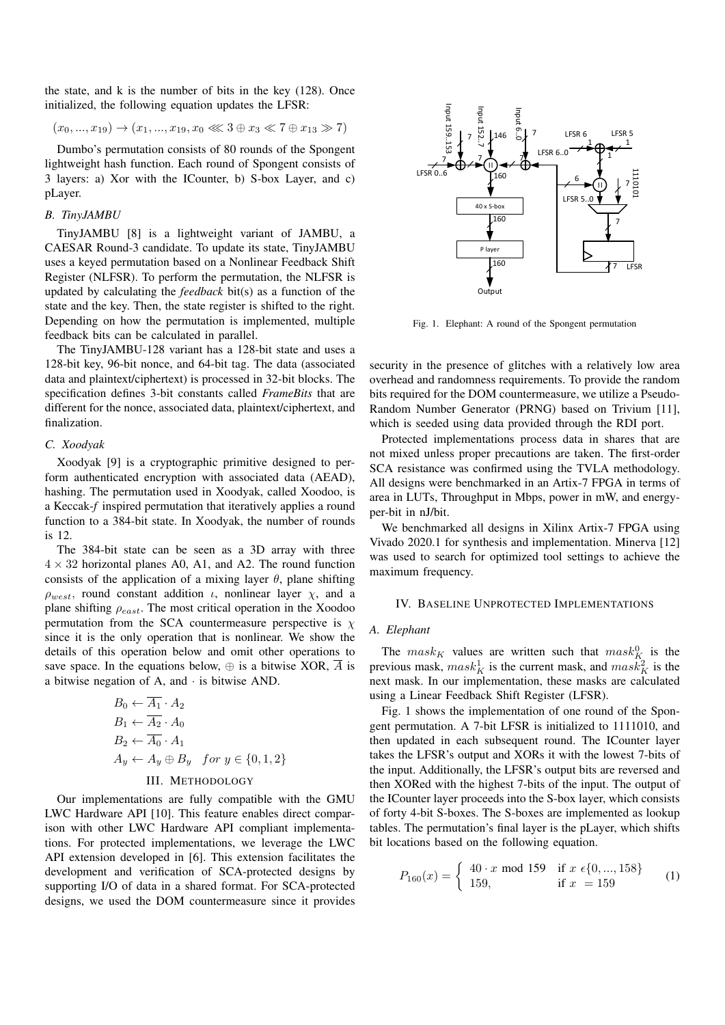the state, and k is the number of bits in the key (128). Once initialized, the following equation updates the LFSR:

$$
(x_0, ..., x_{19}) \rightarrow (x_1, ..., x_{19}, x_0 \ll 3 \oplus x_3 \ll 7 \oplus x_{13} \gg 7)
$$

Dumbo's permutation consists of 80 rounds of the Spongent lightweight hash function. Each round of Spongent consists of 3 layers: a) Xor with the ICounter, b) S-box Layer, and c) pLayer.

## *B. TinyJAMBU*

TinyJAMBU [8] is a lightweight variant of JAMBU, a CAESAR Round-3 candidate. To update its state, TinyJAMBU uses a keyed permutation based on a Nonlinear Feedback Shift Register (NLFSR). To perform the permutation, the NLFSR is updated by calculating the *feedback* bit(s) as a function of the state and the key. Then, the state register is shifted to the right. Depending on how the permutation is implemented, multiple feedback bits can be calculated in parallel.

The TinyJAMBU-128 variant has a 128-bit state and uses a 128-bit key, 96-bit nonce, and 64-bit tag. The data (associated data and plaintext/ciphertext) is processed in 32-bit blocks. The specification defines 3-bit constants called *FrameBits* that are different for the nonce, associated data, plaintext/ciphertext, and finalization.

#### *C. Xoodyak*

Xoodyak [9] is a cryptographic primitive designed to perform authenticated encryption with associated data (AEAD), hashing. The permutation used in Xoodyak, called Xoodoo, is a Keccak-*f* inspired permutation that iteratively applies a round function to a 384-bit state. In Xoodyak, the number of rounds is 12.

The 384-bit state can be seen as a 3D array with three  $4 \times 32$  horizontal planes A0, A1, and A2. The round function consists of the application of a mixing layer  $\theta$ , plane shifting  $\rho_{west}$ , round constant addition *ι*, nonlinear layer  $\chi$ , and a plane shifting  $\rho_{east}$ . The most critical operation in the Xoodoo permutation from the SCA countermeasure perspective is  $\chi$ since it is the only operation that is nonlinear. We show the details of this operation below and omit other operations to save space. In the equations below,  $\oplus$  is a bitwise XOR,  $\overline{A}$  is a bitwise negation of A, and · is bitwise AND.

$$
B_0 \leftarrow \overline{A_1} \cdot A_2
$$
  
\n
$$
B_1 \leftarrow \overline{A_2} \cdot A_0
$$
  
\n
$$
B_2 \leftarrow \overline{A_0} \cdot A_1
$$
  
\n
$$
A_y \leftarrow A_y \oplus B_y \quad \text{for } y \in \{0, 1, 2\}
$$

# III. METHODOLOGY

Our implementations are fully compatible with the GMU LWC Hardware API [10]. This feature enables direct comparison with other LWC Hardware API compliant implementations. For protected implementations, we leverage the LWC API extension developed in [6]. This extension facilitates the development and verification of SCA-protected designs by supporting I/O of data in a shared format. For SCA-protected designs, we used the DOM countermeasure since it provides



Fig. 1. Elephant: A round of the Spongent permutation

security in the presence of glitches with a relatively low area overhead and randomness requirements. To provide the random bits required for the DOM countermeasure, we utilize a Pseudo-Random Number Generator (PRNG) based on Trivium [11], which is seeded using data provided through the RDI port.

Protected implementations process data in shares that are not mixed unless proper precautions are taken. The first-order SCA resistance was confirmed using the TVLA methodology. All designs were benchmarked in an Artix-7 FPGA in terms of area in LUTs, Throughput in Mbps, power in mW, and energyper-bit in nJ/bit.

We benchmarked all designs in Xilinx Artix-7 FPGA using Vivado 2020.1 for synthesis and implementation. Minerva [12] was used to search for optimized tool settings to achieve the maximum frequency.

#### IV. BASELINE UNPROTECTED IMPLEMENTATIONS

#### *A. Elephant*

The  ${mask}_{K}$  values are written such that  ${mask}_{K}^{0}$  is the previous mask,  $mask_K^1$  is the current mask, and  $mask_K^2$  is the next mask. In our implementation, these masks are calculated using a Linear Feedback Shift Register (LFSR).

Fig. 1 shows the implementation of one round of the Spongent permutation. A 7-bit LFSR is initialized to 1111010, and then updated in each subsequent round. The ICounter layer takes the LFSR's output and XORs it with the lowest 7-bits of the input. Additionally, the LFSR's output bits are reversed and then XORed with the highest 7-bits of the input. The output of the ICounter layer proceeds into the S-box layer, which consists of forty 4-bit S-boxes. The S-boxes are implemented as lookup tables. The permutation's final layer is the pLayer, which shifts bit locations based on the following equation.

$$
P_{160}(x) = \begin{cases} 40 \cdot x \text{ mod } 159 & \text{if } x \in \{0, ..., 158\} \\ 159, & \text{if } x = 159 \end{cases} \tag{1}
$$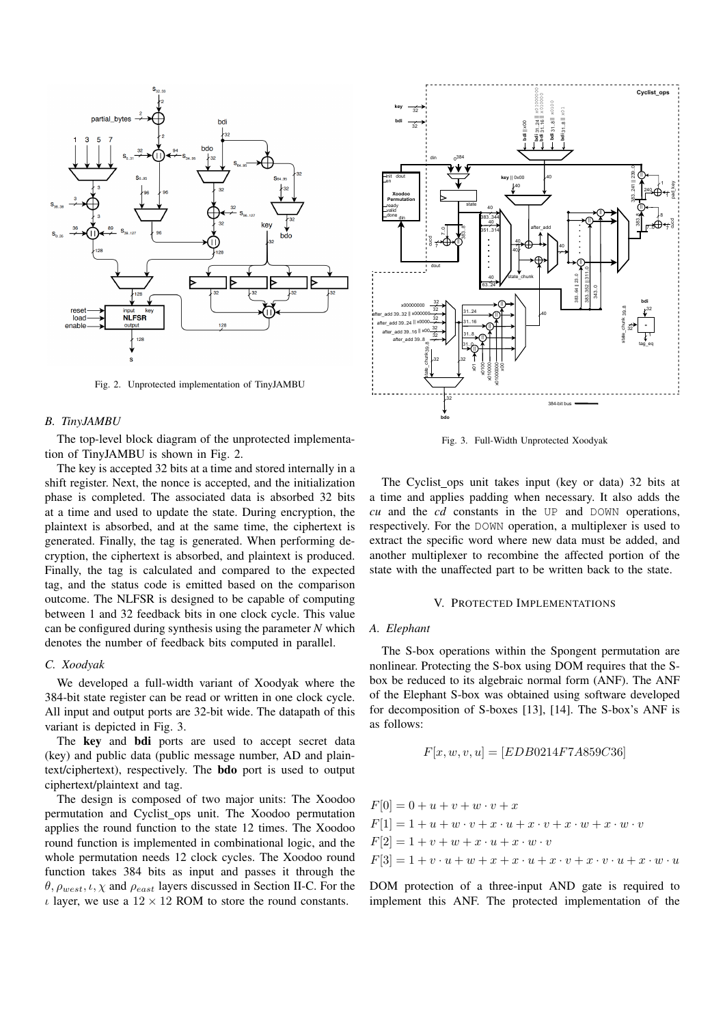

Fig. 2. Unprotected implementation of TinyJAMBU

## *B. TinyJAMBU*

The top-level block diagram of the unprotected implementation of TinyJAMBU is shown in Fig. 2.

The key is accepted 32 bits at a time and stored internally in a shift register. Next, the nonce is accepted, and the initialization phase is completed. The associated data is absorbed 32 bits at a time and used to update the state. During encryption, the plaintext is absorbed, and at the same time, the ciphertext is generated. Finally, the tag is generated. When performing decryption, the ciphertext is absorbed, and plaintext is produced. Finally, the tag is calculated and compared to the expected tag, and the status code is emitted based on the comparison outcome. The NLFSR is designed to be capable of computing between 1 and 32 feedback bits in one clock cycle. This value can be configured during synthesis using the parameter *N* which denotes the number of feedback bits computed in parallel.

#### *C. Xoodyak*

We developed a full-width variant of Xoodyak where the 384-bit state register can be read or written in one clock cycle. All input and output ports are 32-bit wide. The datapath of this variant is depicted in Fig. 3.

The key and **bdi** ports are used to accept secret data (key) and public data (public message number, AD and plaintext/ciphertext), respectively. The bdo port is used to output ciphertext/plaintext and tag.

The design is composed of two major units: The Xoodoo permutation and Cyclist\_ops unit. The Xoodoo permutation applies the round function to the state 12 times. The Xoodoo round function is implemented in combinational logic, and the whole permutation needs 12 clock cycles. The Xoodoo round function takes 384 bits as input and passes it through the  $\theta$ ,  $\rho_{west}$ ,  $\iota$ ,  $\chi$  and  $\rho_{east}$  layers discussed in Section II-C. For the  $\iota$  layer, we use a  $12 \times 12$  ROM to store the round constants.



Fig. 3. Full-Width Unprotected Xoodyak

The Cyclist ops unit takes input (key or data) 32 bits at a time and applies padding when necessary. It also adds the *cu* and the *cd* constants in the UP and DOWN operations, respectively. For the DOWN operation, a multiplexer is used to extract the specific word where new data must be added, and another multiplexer to recombine the affected portion of the state with the unaffected part to be written back to the state.

#### V. PROTECTED IMPLEMENTATIONS

#### *A. Elephant*

The S-box operations within the Spongent permutation are nonlinear. Protecting the S-box using DOM requires that the Sbox be reduced to its algebraic normal form (ANF). The ANF of the Elephant S-box was obtained using software developed for decomposition of S-boxes [13], [14]. The S-box's ANF is as follows:

$$
F[x, w, v, u] = [EDB0214F7A859C36]
$$

$$
F[0] = 0 + u + v + w \cdot v + x
$$
  
\n
$$
F[1] = 1 + u + w \cdot v + x \cdot u + x \cdot v + x \cdot w + x \cdot w \cdot v
$$
  
\n
$$
F[2] = 1 + v + w + x \cdot u + x \cdot w \cdot v
$$
  
\n
$$
F[3] = 1 + v \cdot u + w + x + x \cdot u + x \cdot v + x \cdot v \cdot u + x \cdot w \cdot u
$$

DOM protection of a three-input AND gate is required to implement this ANF. The protected implementation of the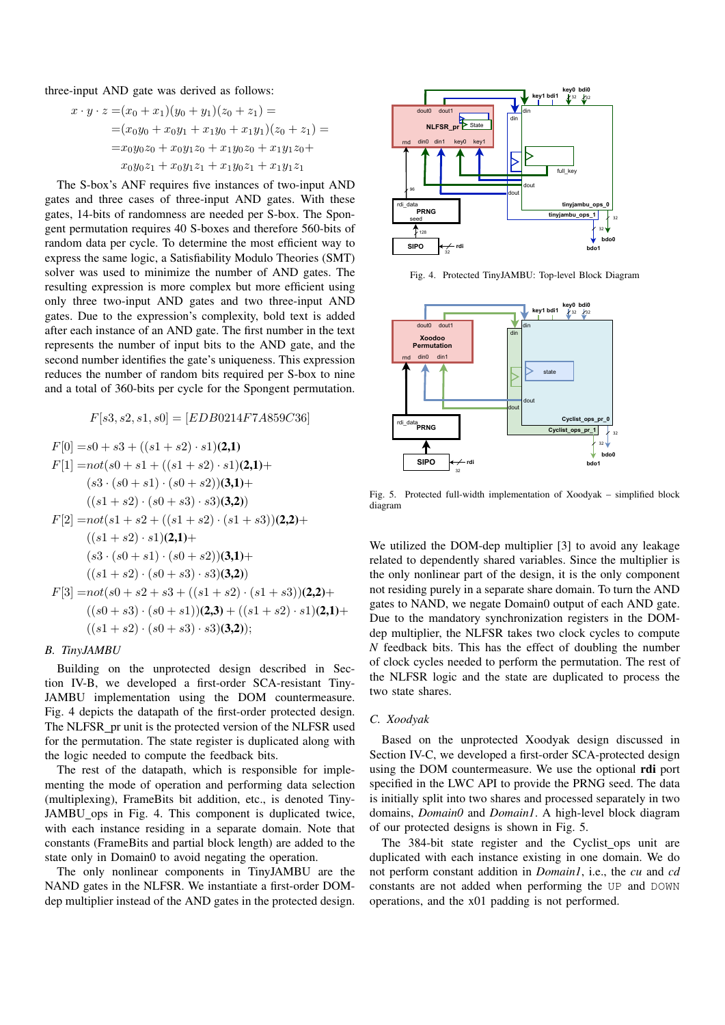three-input AND gate was derived as follows:

$$
x \cdot y \cdot z = (x_0 + x_1)(y_0 + y_1)(z_0 + z_1) =
$$
  
=  $(x_0y_0 + x_0y_1 + x_1y_0 + x_1y_1)(z_0 + z_1) =$   
=  $x_0y_0z_0 + x_0y_1z_0 + x_1y_0z_0 + x_1y_1z_0 +$   
 $x_0y_0z_1 + x_0y_1z_1 + x_1y_0z_1 + x_1y_1z_1$ 

The S-box's ANF requires five instances of two-input AND gates and three cases of three-input AND gates. With these gates, 14-bits of randomness are needed per S-box. The Spongent permutation requires 40 S-boxes and therefore 560-bits of random data per cycle. To determine the most efficient way to express the same logic, a Satisfiability Modulo Theories (SMT) solver was used to minimize the number of AND gates. The resulting expression is more complex but more efficient using only three two-input AND gates and two three-input AND gates. Due to the expression's complexity, bold text is added after each instance of an AND gate. The first number in the text represents the number of input bits to the AND gate, and the second number identifies the gate's uniqueness. This expression reduces the number of random bits required per S-box to nine and a total of 360-bits per cycle for the Spongent permutation.

$$
F[s3, s2, s1, s0] = [EDB0214F7A859C36]
$$

$$
F[0] = s0 + s3 + ((s1 + s2) \cdot s1)(2,1)
$$
  
\n
$$
F[1] = not(s0 + s1 + ((s1 + s2) \cdot s1)(2,1) + (s3 \cdot (s0 + s1) \cdot (s0 + s2))(3,1) +
$$
  
\n
$$
((s1 + s2) \cdot (s0 + s3) \cdot s3)(3,2)
$$
  
\n
$$
F[2] = not(s1 + s2 + ((s1 + s2) \cdot (s1 + s3))(2,2) +
$$
  
\n
$$
((s1 + s2) \cdot s1)(2,1) +
$$
  
\n
$$
(s3 \cdot (s0 + s1) \cdot (s0 + s2))(3,1) +
$$
  
\n
$$
((s1 + s2) \cdot (s0 + s3) \cdot s3)(3,2)
$$
  
\n
$$
F[3] = not(s0 + s2 + s3 + ((s1 + s2) \cdot (s1 + s3))(2,2) +
$$
  
\n
$$
((s0 + s3) \cdot (s0 + s1))(2,3) + ((s1 + s2) \cdot s1)(2,1) +
$$
  
\n
$$
((s1 + s2) \cdot (s0 + s3) \cdot s3)(3,2));
$$

#### *B. TinyJAMBU*

Building on the unprotected design described in Section IV-B, we developed a first-order SCA-resistant Tiny-JAMBU implementation using the DOM countermeasure. Fig. 4 depicts the datapath of the first-order protected design. The NLFSR pr unit is the protected version of the NLFSR used for the permutation. The state register is duplicated along with the logic needed to compute the feedback bits.

The rest of the datapath, which is responsible for implementing the mode of operation and performing data selection (multiplexing), FrameBits bit addition, etc., is denoted Tiny-JAMBU\_ops in Fig. 4. This component is duplicated twice, with each instance residing in a separate domain. Note that constants (FrameBits and partial block length) are added to the state only in Domain0 to avoid negating the operation.

The only nonlinear components in TinyJAMBU are the NAND gates in the NLFSR. We instantiate a first-order DOMdep multiplier instead of the AND gates in the protected design.



Fig. 4. Protected TinyJAMBU: Top-level Block Diagram



Fig. 5. Protected full-width implementation of Xoodyak – simplified block diagram

We utilized the DOM-dep multiplier [3] to avoid any leakage related to dependently shared variables. Since the multiplier is the only nonlinear part of the design, it is the only component not residing purely in a separate share domain. To turn the AND gates to NAND, we negate Domain0 output of each AND gate. Due to the mandatory synchronization registers in the DOMdep multiplier, the NLFSR takes two clock cycles to compute *N* feedback bits. This has the effect of doubling the number of clock cycles needed to perform the permutation. The rest of the NLFSR logic and the state are duplicated to process the two state shares.

#### *C. Xoodyak*

Based on the unprotected Xoodyak design discussed in Section IV-C, we developed a first-order SCA-protected design using the DOM countermeasure. We use the optional rdi port specified in the LWC API to provide the PRNG seed. The data is initially split into two shares and processed separately in two domains, *Domain0* and *Domain1*. A high-level block diagram of our protected designs is shown in Fig. 5.

The 384-bit state register and the Cyclist\_ops unit are duplicated with each instance existing in one domain. We do not perform constant addition in *Domain1*, i.e., the *cu* and *cd* constants are not added when performing the UP and DOWN operations, and the x01 padding is not performed.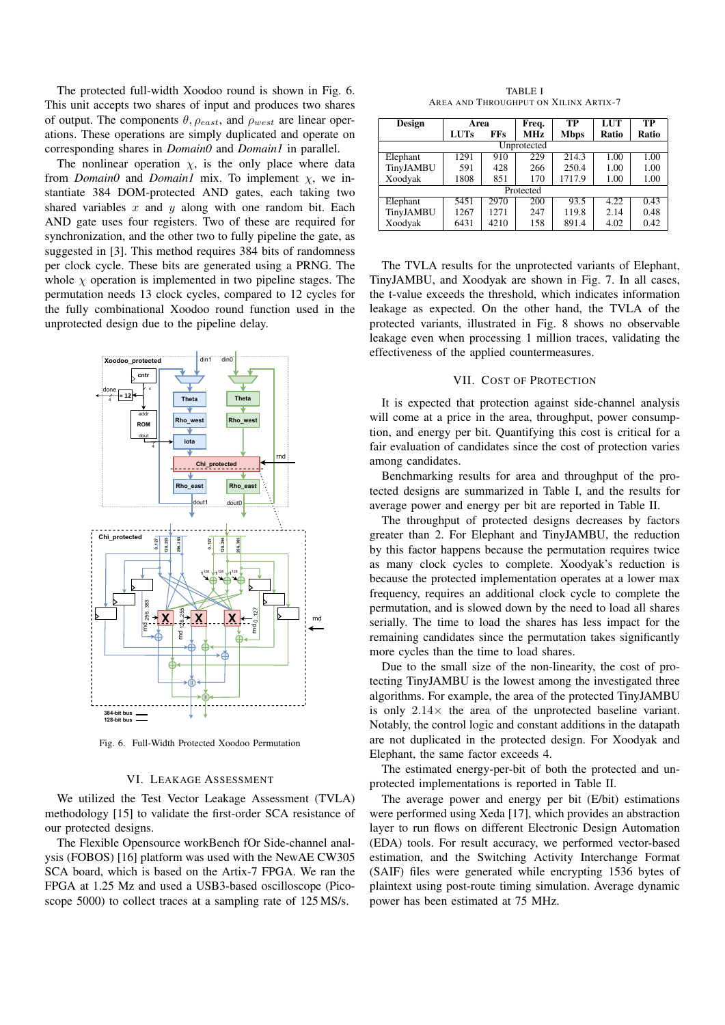The protected full-width Xoodoo round is shown in Fig. 6. This unit accepts two shares of input and produces two shares of output. The components  $\theta$ ,  $\rho_{east}$ , and  $\rho_{west}$  are linear operations. These operations are simply duplicated and operate on corresponding shares in *Domain0* and *Domain1* in parallel.

The nonlinear operation  $\chi$ , is the only place where data from *Domain0* and *Domain1* mix. To implement χ, we instantiate 384 DOM-protected AND gates, each taking two shared variables  $x$  and  $y$  along with one random bit. Each AND gate uses four registers. Two of these are required for synchronization, and the other two to fully pipeline the gate, as suggested in [3]. This method requires 384 bits of randomness per clock cycle. These bits are generated using a PRNG. The whole  $\chi$  operation is implemented in two pipeline stages. The permutation needs 13 clock cycles, compared to 12 cycles for the fully combinational Xoodoo round function used in the unprotected design due to the pipeline delay.



Fig. 6. Full-Width Protected Xoodoo Permutation

#### VI. LEAKAGE ASSESSMENT

We utilized the Test Vector Leakage Assessment (TVLA) methodology [15] to validate the first-order SCA resistance of our protected designs.

The Flexible Opensource workBench fOr Side-channel analysis (FOBOS) [16] platform was used with the NewAE CW305 SCA board, which is based on the Artix-7 FPGA. We ran the FPGA at 1.25 Mz and used a USB3-based oscilloscope (Picoscope 5000) to collect traces at a sampling rate of 125 MS/s.

TABLE I AREA AND THROUGHPUT ON XILINX ARTIX-7

| Design      | Area        |            | Freq.      | TР          | LUT   | ТP    |  |  |  |
|-------------|-------------|------------|------------|-------------|-------|-------|--|--|--|
|             | <b>LUTs</b> | <b>FFs</b> | <b>MHz</b> | <b>Mbps</b> | Ratio | Ratio |  |  |  |
| Unprotected |             |            |            |             |       |       |  |  |  |
| Elephant    | 1291        | 910        | 229        | 214.3       | 1.00  | 1.00  |  |  |  |
| TinyJAMBU   | 591         | 428        | 266        | 250.4       | 1.00  | 1.00  |  |  |  |
| Xoodyak     | 1808        | 851        | 170        | 1717.9      | 1.00  | 1.00  |  |  |  |
| Protected   |             |            |            |             |       |       |  |  |  |
| Elephant    | 5451        | 2970       | 200        | 93.5        | 4.22  | 0.43  |  |  |  |
| TinyJAMBU   | 1267        | 1271       | 247        | 119.8       | 2.14  | 0.48  |  |  |  |
| Xoodyak     | 6431        | 4210       | 158        | 891.4       | 4.02  | 0.42  |  |  |  |

The TVLA results for the unprotected variants of Elephant, TinyJAMBU, and Xoodyak are shown in Fig. 7. In all cases, the t-value exceeds the threshold, which indicates information leakage as expected. On the other hand, the TVLA of the protected variants, illustrated in Fig. 8 shows no observable leakage even when processing 1 million traces, validating the effectiveness of the applied countermeasures.

# VII. COST OF PROTECTION

It is expected that protection against side-channel analysis will come at a price in the area, throughput, power consumption, and energy per bit. Quantifying this cost is critical for a fair evaluation of candidates since the cost of protection varies among candidates.

Benchmarking results for area and throughput of the protected designs are summarized in Table I, and the results for average power and energy per bit are reported in Table II.

The throughput of protected designs decreases by factors greater than 2. For Elephant and TinyJAMBU, the reduction by this factor happens because the permutation requires twice as many clock cycles to complete. Xoodyak's reduction is because the protected implementation operates at a lower max frequency, requires an additional clock cycle to complete the permutation, and is slowed down by the need to load all shares serially. The time to load the shares has less impact for the remaining candidates since the permutation takes significantly more cycles than the time to load shares.

Due to the small size of the non-linearity, the cost of protecting TinyJAMBU is the lowest among the investigated three algorithms. For example, the area of the protected TinyJAMBU is only  $2.14\times$  the area of the unprotected baseline variant. Notably, the control logic and constant additions in the datapath are not duplicated in the protected design. For Xoodyak and Elephant, the same factor exceeds 4.

The estimated energy-per-bit of both the protected and unprotected implementations is reported in Table II.

The average power and energy per bit (E/bit) estimations were performed using Xeda [17], which provides an abstraction layer to run flows on different Electronic Design Automation (EDA) tools. For result accuracy, we performed vector-based estimation, and the Switching Activity Interchange Format (SAIF) files were generated while encrypting 1536 bytes of plaintext using post-route timing simulation. Average dynamic power has been estimated at 75 MHz.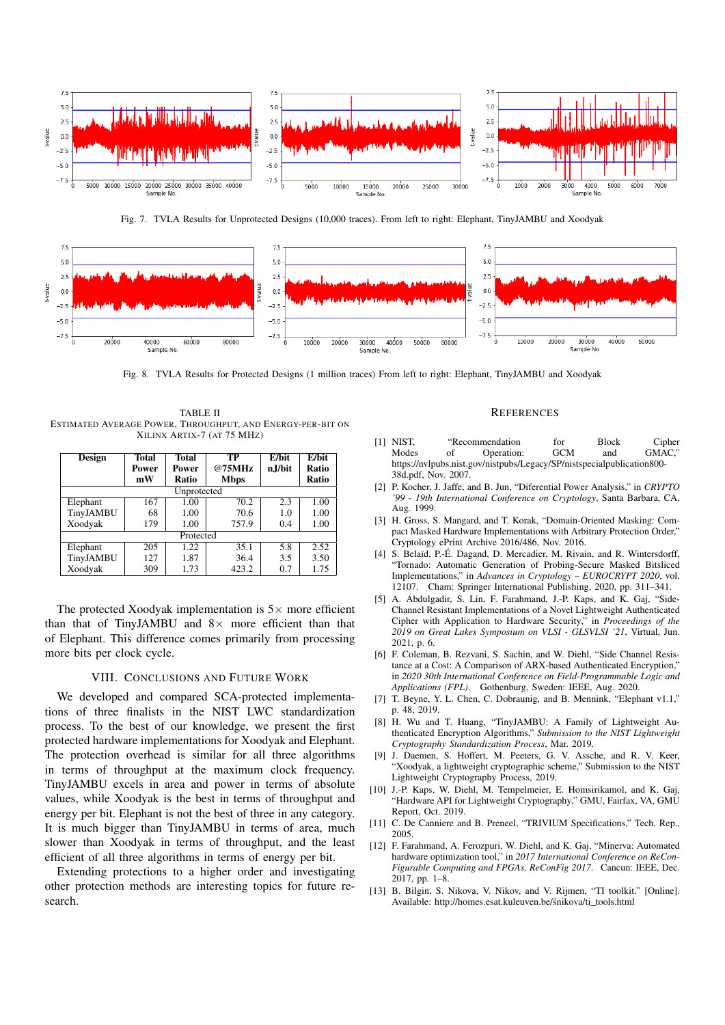

Fig. 7. TVLA Results for Unprotected Designs (10,000 traces). From left to right: Elephant, TinyJAMBU and Xoodyak



Fig. 8. TVLA Results for Protected Designs (1 million traces) From left to right: Elephant, TinyJAMBU and Xoodyak

TABLE II ESTIMATED AVERAGE POWER, THROUGHPUT, AND ENERGY-PER-BIT ON XILINX ARTIX-7 (AT 75 MHZ)

| Design      | Total        | <b>Total</b> | TP          | $E/b$ it | E/bit |  |  |  |  |
|-------------|--------------|--------------|-------------|----------|-------|--|--|--|--|
|             | <b>Power</b> | Power        | @75MHz      | n.J/bit  | Ratio |  |  |  |  |
|             | mW           | Ratio        | <b>Mbps</b> |          | Ratio |  |  |  |  |
| Unprotected |              |              |             |          |       |  |  |  |  |
| Elephant    | 167          | 1.00         | 70.2        | 2.3      | 1.00  |  |  |  |  |
| TinyJAMBU   | 68           | 1.00         | 70.6        | 1.0      | 1.00  |  |  |  |  |
| Xoodyak     | 179          | 1.00         | 757.9       | 0.4      | 1.00  |  |  |  |  |
| Protected   |              |              |             |          |       |  |  |  |  |
| Elephant    | 205          | 1.22         | 35.1        | 5.8      | 2.52  |  |  |  |  |
| TinyJAMBU   | 127          | 1.87         | 36.4        | 3.5      | 3.50  |  |  |  |  |
| Xoodyak     | 309          | 1.73         | 423.2       | 0.7      | 1.75  |  |  |  |  |

The protected Xoodyak implementation is  $5\times$  more efficient than that of TinyJAMBU and  $8 \times$  more efficient than that of Elephant. This difference comes primarily from processing more bits per clock cycle.

# VIII. CONCLUSIONS AND FUTURE WORK

We developed and compared SCA-protected implementations of three finalists in the NIST LWC standardization process. To the best of our knowledge, we present the first protected hardware implementations for Xoodyak and Elephant. The protection overhead is similar for all three algorithms in terms of throughput at the maximum clock frequency. TinyJAMBU excels in area and power in terms of absolute values, while Xoodyak is the best in terms of throughput and energy per bit. Elephant is not the best of three in any category. It is much bigger than TinyJAMBU in terms of area, much slower than Xoodyak in terms of throughput, and the least efficient of all three algorithms in terms of energy per bit.

Extending protections to a higher order and investigating other protection methods are interesting topics for future research.

#### **REFERENCES**

- [1] NIST, "Recommendation for Block Cipher Modes of Operation: GCM and GMAC, https://nvlpubs.nist.gov/nistpubs/Legacy/SP/nistspecialpublication800- 38d.pdf, Nov. 2007.
- [2] P. Kocher, J. Jaffe, and B. Jun, "Diferential Power Analysis," in *CRYPTO '99 - 19th International Conference on Cryptology*, Santa Barbara, CA, Aug. 1999.
- [3] H. Gross, S. Mangard, and T. Korak, "Domain-Oriented Masking: Compact Masked Hardware Implementations with Arbitrary Protection Order," Cryptology ePrint Archive 2016/486, Nov. 2016.
- [4] S. Belaïd, P.-É. Dagand, D. Mercadier, M. Rivain, and R. Wintersdorff. "Tornado: Automatic Generation of Probing-Secure Masked Bitsliced Implementations," in *Advances in Cryptology – EUROCRYPT 2020*, vol. 12107. Cham: Springer International Publishing, 2020, pp. 311–341.
- [5] A. Abdulgadir, S. Lin, F. Farahmand, J.-P. Kaps, and K. Gaj, "Side-Channel Resistant Implementations of a Novel Lightweight Authenticated Cipher with Application to Hardware Security," in *Proceedings of the 2019 on Great Lakes Symposium on VLSI - GLSVLSI '21*, Virtual, Jun. 2021, p. 6.
- [6] F. Coleman, B. Rezvani, S. Sachin, and W. Diehl, "Side Channel Resistance at a Cost: A Comparison of ARX-based Authenticated Encryption," in *2020 30th International Conference on Field-Programmable Logic and Applications (FPL)*. Gothenburg, Sweden: IEEE, Aug. 2020.
- [7] T. Beyne, Y. L. Chen, C. Dobraunig, and B. Mennink, "Elephant v1.1," p. 48, 2019.
- [8] H. Wu and T. Huang, "TinyJAMBU: A Family of Lightweight Authenticated Encryption Algorithms," *Submission to the NIST Lightweight Cryptography Standardization Process*, Mar. 2019.
- [9] J. Daemen, S. Hoffert, M. Peeters, G. V. Assche, and R. V. Keer, "Xoodyak, a lightweight cryptographic scheme," Submission to the NIST Lightweight Cryptography Process, 2019.
- [10] J.-P. Kaps, W. Diehl, M. Tempelmeier, E. Homsirikamol, and K. Gai, "Hardware API for Lightweight Cryptography," GMU, Fairfax, VA, GMU Report, Oct. 2019.
- [11] C. De Canniere and B. Preneel, "TRIVIUM Specifications," Tech. Rep., 2005.
- [12] F. Farahmand, A. Ferozpuri, W. Diehl, and K. Gaj, "Minerva: Automated hardware optimization tool," in *2017 International Conference on ReCon-Figurable Computing and FPGAs, ReConFig 2017*. Cancun: IEEE, Dec. 2017, pp. 1–8.
- [13] B. Bilgin, S. Nikova, V. Nikov, and V. Rijmen, "TI toolkit." [Online]. Available: http://homes.esat.kuleuven.be/snikova/ti\_tools.html